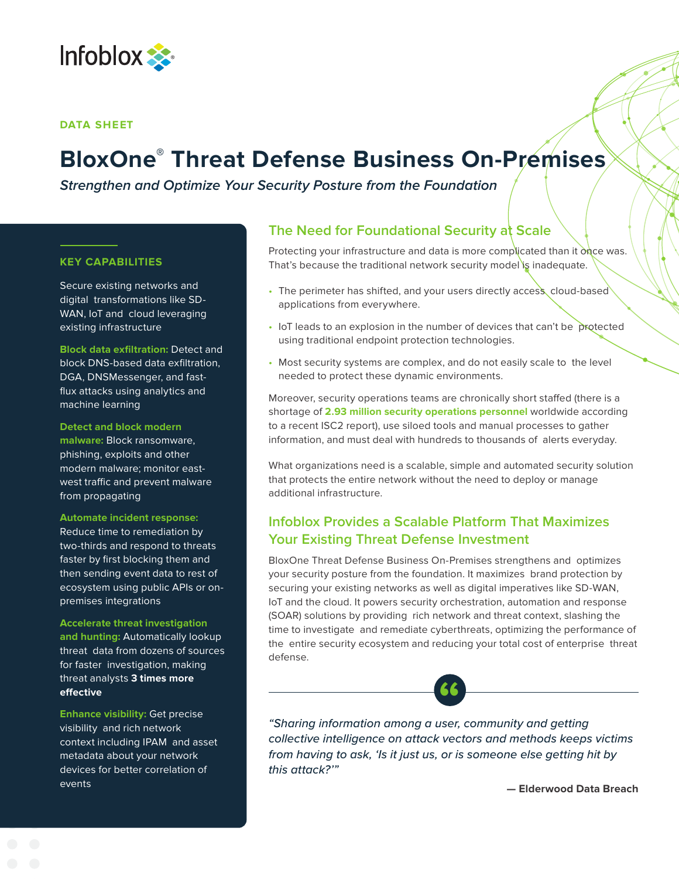

### **DATA SHEET**

# **BloxOne ® Threat Defense Business On-Premises**

**Strengthen and Optimize Your Security Posture from the Foundation**

## **KEY CAPABILITIES**

Secure existing networks and digital transformations like SD-WAN, IoT and cloud leveraging existing infrastructure

**Block data exfiltration:** Detect and block DNS-based data exfiltration, DGA, DNSMessenger, and fastflux attacks using analytics and machine learning

**Detect and block modern malware:** Block ransomware, phishing, exploits and other modern malware; monitor eastwest traffic and prevent malware from propagating

**Automate incident response:** Reduce time to remediation by two-thirds and respond to threats faster by first blocking them and then sending event data to rest of ecosystem using public APIs or onpremises integrations

**Accelerate threat investigation** 

**and hunting:** Automatically lookup threat data from dozens of sources for faster investigation, making threat analysts **3 times more effective**

**Enhance visibility:** Get precise visibility and rich network context including IPAM and asset metadata about your network devices for better correlation of events

# **The Need for Foundational Security at Scale**

Protecting your infrastructure and data is more complicated than it once was. That's because the traditional network security model is inadequate.

- The perimeter has shifted, and your users directly access cloud-based applications from everywhere.
- IoT leads to an explosion in the number of devices that can't be protected using traditional endpoint protection technologies.
- Most security systems are complex, and do not easily scale to the level needed to protect these dynamic environments.

Moreover, security operations teams are chronically short staffed (there is a shortage of **2.93 million security operations personnel** worldwide according to a recent ISC2 report), use siloed tools and manual processes to gather information, and must deal with hundreds to thousands of alerts everyday.

What organizations need is a scalable, simple and automated security solution that protects the entire network without the need to deploy or manage additional infrastructure.

# **Infoblox Provides a Scalable Platform That Maximizes Your Existing Threat Defense Investment**

BloxOne Threat Defense Business On-Premises strengthens and optimizes your security posture from the foundation. It maximizes brand protection by securing your existing networks as well as digital imperatives like SD-WAN, IoT and the cloud. It powers security orchestration, automation and response (SOAR) solutions by providing rich network and threat context, slashing the time to investigate and remediate cyberthreats, optimizing the performance of the entire security ecosystem and reducing your total cost of enterprise threat defense.

*"Sharing information among a user, community and getting*  **"***collective intelligence on attack vectors and methods keeps victims from having to ask, 'Is it just us, or is someone else getting hit by this attack?'"*

**— Elderwood Data Breach**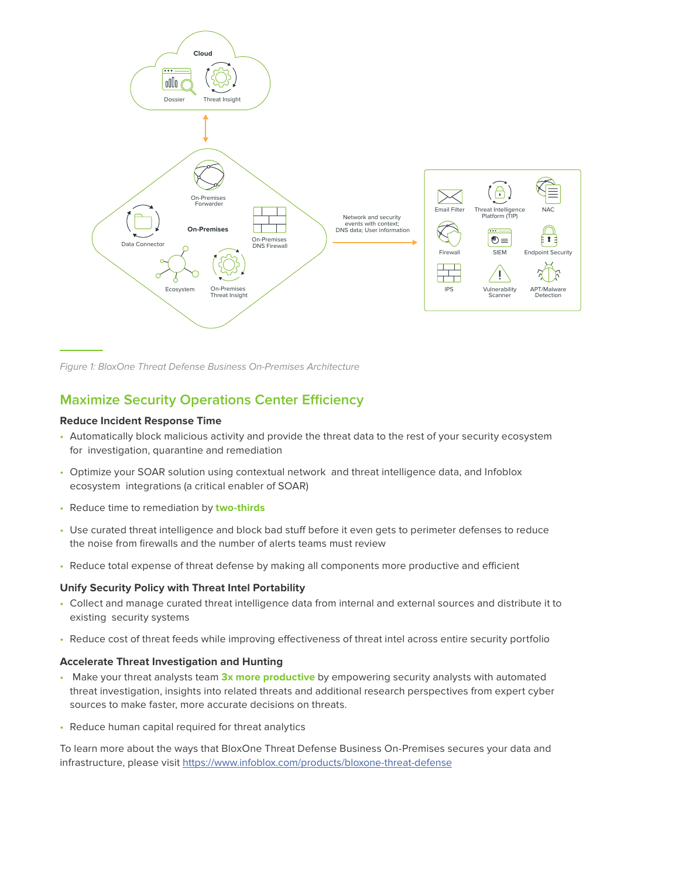

Figure 1: BloxOne Threat Defense Business On-Premises Architecture

# **Maximize Security Operations Center Efficiency**

## **Reduce Incident Response Time**

- Automatically block malicious activity and provide the threat data to the rest of your security ecosystem for investigation, quarantine and remediation
- Optimize your SOAR solution using contextual network and threat intelligence data, and Infoblox ecosystem integrations (a critical enabler of SOAR)
- Reduce time to remediation by **two-thirds**
- Use curated threat intelligence and block bad stuff before it even gets to perimeter defenses to reduce the noise from firewalls and the number of alerts teams must review
- Reduce total expense of threat defense by making all components more productive and efficient

#### **Unify Security Policy with Threat Intel Portability**

- Collect and manage curated threat intelligence data from internal and external sources and distribute it to existing security systems
- Reduce cost of threat feeds while improving effectiveness of threat intel across entire security portfolio

#### **Accelerate Threat Investigation and Hunting**

- Make your threat analysts team **3x more productive** by empowering security analysts with automated threat investigation, insights into related threats and additional research perspectives from expert cyber sources to make faster, more accurate decisions on threats.
- Reduce human capital required for threat analytics

To learn more about the ways that BloxOne Threat Defense Business On-Premises secures your data and infrastructure, please visit <https://www.infoblox.com/products/bloxone-threat-defense>